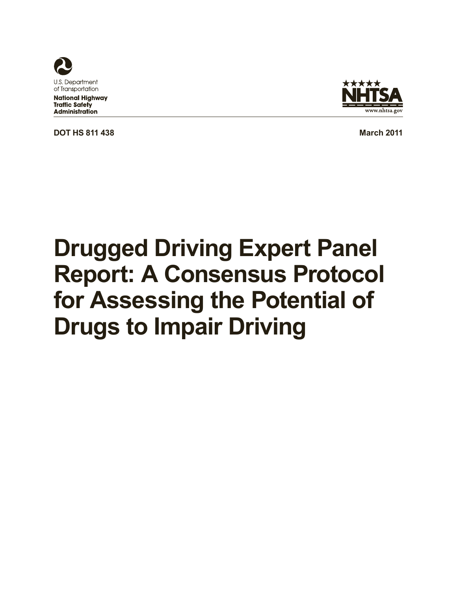

**National Highway Traffic Safety Administration** 

**DOT HS 811 438 March** 2011



# **Drugged Driving Expert Panel Report: A Consensus Protocol for Assessing the Potential of Drugs to Impair Driving**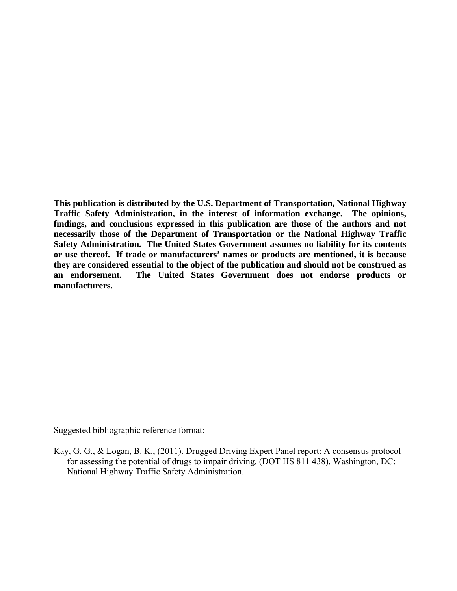**This publication is distributed by the U.S. Department of Transportation, National Highway Traffic Safety Administration, in the interest of information exchange. The opinions, findings, and conclusions expressed in this publication are those of the authors and not necessarily those of the Department of Transportation or the National Highway Traffic Safety Administration. The United States Government assumes no liability for its contents or use thereof. If trade or manufacturers' names or products are mentioned, it is because they are considered essential to the object of the publication and should not be construed as an endorsement. The United States Government does not endorse products or manufacturers.** 

Suggested bibliographic reference format:

Kay, G. G., & Logan, B. K., (2011). Drugged Driving Expert Panel report: A consensus protocol for assessing the potential of drugs to impair driving. (DOT HS 811 438). Washington, DC: National Highway Traffic Safety Administration.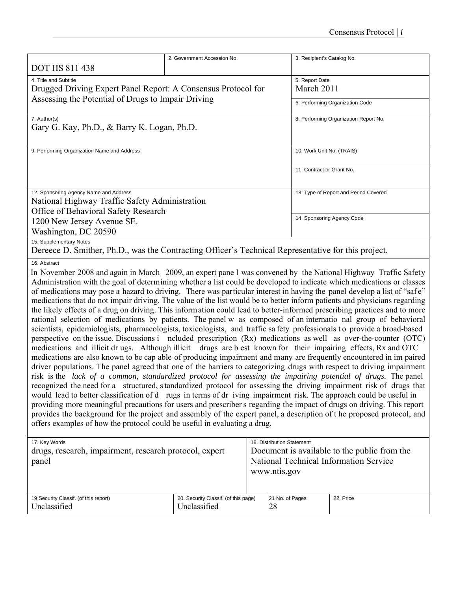|                                                                                                               | 2. Government Accession No.           | 3. Recipient's Catalog No.            |  |  |  |  |
|---------------------------------------------------------------------------------------------------------------|---------------------------------------|---------------------------------------|--|--|--|--|
| <b>DOT HS 811 438</b>                                                                                         |                                       |                                       |  |  |  |  |
| 4. Title and Subtitle                                                                                         |                                       | 5. Report Date                        |  |  |  |  |
| Drugged Driving Expert Panel Report: A Consensus Protocol for                                                 |                                       | March 2011                            |  |  |  |  |
| Assessing the Potential of Drugs to Impair Driving                                                            |                                       | 6. Performing Organization Code       |  |  |  |  |
|                                                                                                               |                                       |                                       |  |  |  |  |
| 7. Author(s)                                                                                                  | 8. Performing Organization Report No. |                                       |  |  |  |  |
| Gary G. Kay, Ph.D., & Barry K. Logan, Ph.D.                                                                   |                                       |                                       |  |  |  |  |
|                                                                                                               |                                       |                                       |  |  |  |  |
| 9. Performing Organization Name and Address                                                                   |                                       | 10. Work Unit No. (TRAIS)             |  |  |  |  |
|                                                                                                               |                                       |                                       |  |  |  |  |
|                                                                                                               |                                       | 11. Contract or Grant No.             |  |  |  |  |
|                                                                                                               |                                       |                                       |  |  |  |  |
| 12. Sponsoring Agency Name and Address                                                                        |                                       | 13. Type of Report and Period Covered |  |  |  |  |
| National Highway Traffic Safety Administration                                                                |                                       |                                       |  |  |  |  |
| Office of Behavioral Safety Research                                                                          |                                       |                                       |  |  |  |  |
| 1200 New Jersey Avenue SE.                                                                                    |                                       | 14. Sponsoring Agency Code            |  |  |  |  |
| Washington, DC 20590                                                                                          |                                       |                                       |  |  |  |  |
| 15. Supplementary Notes                                                                                       |                                       |                                       |  |  |  |  |
| Dereece D. Smither, Ph.D., was the Contracting Officer's Technical Representative for this project.           |                                       |                                       |  |  |  |  |
| 16. Abstract                                                                                                  |                                       |                                       |  |  |  |  |
| In November 2008 and again in March 2009 an expert pane I was convened by the National Highway Traffic Safety |                                       |                                       |  |  |  |  |

In November 2008 and again in March 2009, an expert pane l was convened by the National Highway Traffic Safety Administration with the goal of determining whether a list could be developed to indicate which medications or classes of medications may pose a hazard to driving. There was particular interest in having the panel develop a list of "safe" medications that do not impair driving. The value of the list would be to better inform patients and physicians regarding the likely effects of a drug on driving. This information could lead to better-informed prescribing practices and to more rational selection of medications by patients. The panel w as composed of an internatio nal group of behavioral scientists, epidemiologists, pharmacologists, toxicologists, and traffic sa fety professionals to provide a broad-based perspective on the issue. Discussions i ncluded prescription (Rx) medications as well as over-the-counter (OTC) medications and illicit dr ugs. Although illicit drugs are b est known for their impairing effects, Rx and OTC medications are also known to be cap able of producing impairment and many are frequently encountered in im paired driver populations. The panel agreed that one of the barriers to categorizing drugs with respect to driving impairment risk is the *lack of a common, standardized protocol for assessing the impairing potential of drugs.* The panel recognized the need for a structured, s tandardized protocol for assessing the driving impairment risk of drugs that would lead to better classification of d rugs in terms of dr iving impairment risk. The approach could be useful in providing more meaningful precautions for users and prescribers regarding the impact of drugs on driving. This report provides the background for the project and assembly of the expert panel, a description of t he proposed protocol, and offers examples of how the protocol could be useful in evaluating a drug.

| 17. Key Words<br>drugs, research, impairment, research protocol, expert<br>panel |                                                      | 18. Distribution Statement<br>www.ntis.gov | Document is available to the public from the<br>National Technical Information Service |
|----------------------------------------------------------------------------------|------------------------------------------------------|--------------------------------------------|----------------------------------------------------------------------------------------|
| 19 Security Classif. (of this report)<br>Unclassified                            | 20. Security Classif. (of this page)<br>Unclassified | 21 No. of Pages<br>28                      | 22. Price                                                                              |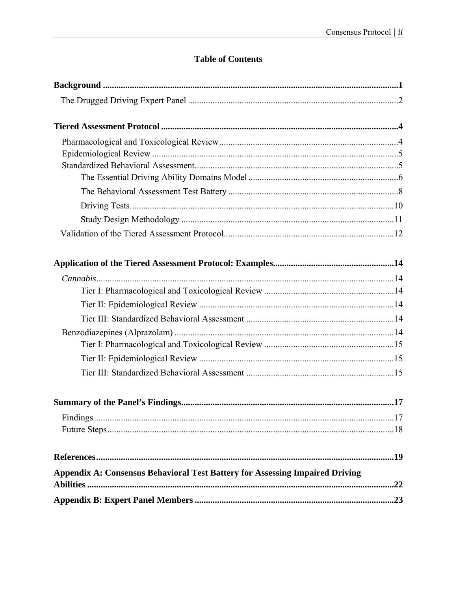# **Table of Contents**

| <b>Appendix A: Consensus Behavioral Test Battery for Assessing Impaired Driving</b> |     |  |  |
|-------------------------------------------------------------------------------------|-----|--|--|
|                                                                                     | .22 |  |  |
|                                                                                     |     |  |  |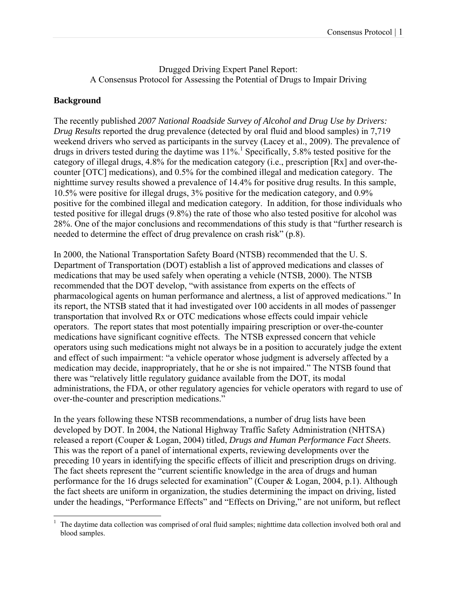# Drugged Driving Expert Panel Report: A Consensus Protocol for Assessing the Potential of Drugs to Impair Driving

# **Background**

The recently published *2007 National Roadside Survey of Alcohol and Drug Use by Drivers: Drug Results* reported the drug prevalence (detected by oral fluid and blood samples) in 7,719 weekend drivers who served as participants in the survey (Lacey et al., 2009). The prevalence of drugs in drivers tested during the daytime was  $11\%$ <sup>1</sup>. Specifically, 5.8% tested positive for the category of illegal drugs, 4.8% for the medication category (i.e., prescription [Rx] and over-thecounter [OTC] medications), and 0.5% for the combined illegal and medication category. The nighttime survey results showed a prevalence of 14.4% for positive drug results. In this sample, 10.5% were positive for illegal drugs, 3% positive for the medication category, and 0.9% positive for the combined illegal and medication category. In addition, for those individuals who tested positive for illegal drugs (9.8%) the rate of those who also tested positive for alcohol was 28%. One of the major conclusions and recommendations of this study is that "further research is needed to determine the effect of drug prevalence on crash risk" (p.8).

In 2000, the National Transportation Safety Board (NTSB) recommended that the U. S. Department of Transportation (DOT) establish a list of approved medications and classes of medications that may be used safely when operating a vehicle (NTSB, 2000). The NTSB recommended that the DOT develop, "with assistance from experts on the effects of pharmacological agents on human performance and alertness, a list of approved medications." In its report, the NTSB stated that it had investigated over 100 accidents in all modes of passenger transportation that involved Rx or OTC medications whose effects could impair vehicle operators. The report states that most potentially impairing prescription or over-the-counter medications have significant cognitive effects. The NTSB expressed concern that vehicle operators using such medications might not always be in a position to accurately judge the extent and effect of such impairment: "a vehicle operator whose judgment is adversely affected by a medication may decide, inappropriately, that he or she is not impaired." The NTSB found that there was "relatively little regulatory guidance available from the DOT, its modal administrations, the FDA, or other regulatory agencies for vehicle operators with regard to use of over-the-counter and prescription medications."

In the years following these NTSB recommendations, a number of drug lists have been developed by DOT. In 2004, the National Highway Traffic Safety Administration (NHTSA) released a report (Couper & Logan, 2004) titled, *Drugs and Human Performance Fact Sheets*. This was the report of a panel of international experts, reviewing developments over the preceding 10 years in identifying the specific effects of illicit and prescription drugs on driving. The fact sheets represent the "current scientific knowledge in the area of drugs and human performance for the 16 drugs selected for examination" (Couper & Logan, 2004, p.1). Although the fact sheets are uniform in organization, the studies determining the impact on driving, listed under the headings, "Performance Effects" and "Effects on Driving," are not uniform, but reflect

 $\overline{a}$ <sup>1</sup> The daytime data collection was comprised of oral fluid samples; nighttime data collection involved both oral and blood samples.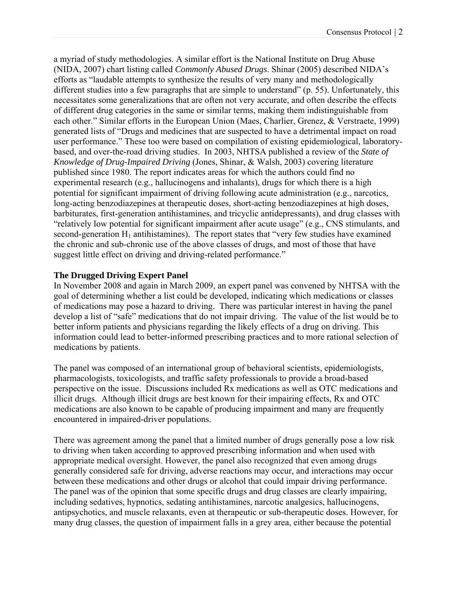a myriad of study methodologies. A similar effort is the National Institute on Drug Abuse (NIDA, 2007) chart listing called *Commonly Abused Drugs*. Shinar (2005) described NIDA's efforts as "laudable attempts to synthesize the results of very many and methodologically different studies into a few paragraphs that are simple to understand" (p. 55). Unfortunately, this necessitates some generalizations that are often not very accurate, and often describe the effects of different drug categories in the same or similar terms, making them indistinguishable from each other." Similar efforts in the European Union (Maes, Charlier, Grenez, & Verstraete, 1999) generated lists of "Drugs and medicines that are suspected to have a detrimental impact on road user performance." These too were based on compilation of existing epidemiological, laboratorybased, and over-the-road driving studies. In 2003, NHTSA published a review of the *State of Knowledge of Drug-Impaired Driving* (Jones, Shinar, & Walsh, 2003) covering literature published since 1980. The report indicates areas for which the authors could find no experimental research (e.g., hallucinogens and inhalants), drugs for which there is a high potential for significant impairment of driving following acute administration (e.g., narcotics, long-acting benzodiazepines at therapeutic doses, short-acting benzodiazepines at high doses, barbiturates, first-generation antihistamines, and tricyclic antidepressants), and drug classes with "relatively low potential for significant impairment after acute usage" (e.g., CNS stimulants, and second-generation  $H_1$  antihistamines). The report states that "very few studies have examined the chronic and sub-chronic use of the above classes of drugs, and most of those that have suggest little effect on driving and driving-related performance."

# **The Drugged Driving Expert Panel**

In November 2008 and again in March 2009, an expert panel was convened by NHTSA with the goal of determining whether a list could be developed, indicating which medications or classes of medications may pose a hazard to driving. There was particular interest in having the panel develop a list of "safe" medications that do not impair driving. The value of the list would be to better inform patients and physicians regarding the likely effects of a drug on driving. This information could lead to better-informed prescribing practices and to more rational selection of medications by patients.

The panel was composed of an international group of behavioral scientists, epidemiologists, pharmacologists, toxicologists, and traffic safety professionals to provide a broad-based perspective on the issue. Discussions included Rx medications as well as OTC medications and illicit drugs. Although illicit drugs are best known for their impairing effects, Rx and OTC medications are also known to be capable of producing impairment and many are frequently encountered in impaired-driver populations.

There was agreement among the panel that a limited number of drugs generally pose a low risk to driving when taken according to approved prescribing information and when used with appropriate medical oversight. However, the panel also recognized that even among drugs generally considered safe for driving, adverse reactions may occur, and interactions may occur between these medications and other drugs or alcohol that could impair driving performance. The panel was of the opinion that some specific drugs and drug classes are clearly impairing, including sedatives, hypnotics, sedating antihistamines, narcotic analgesics, hallucinogens, antipsychotics, and muscle relaxants, even at therapeutic or sub-therapeutic doses. However, for many drug classes, the question of impairment falls in a grey area, either because the potential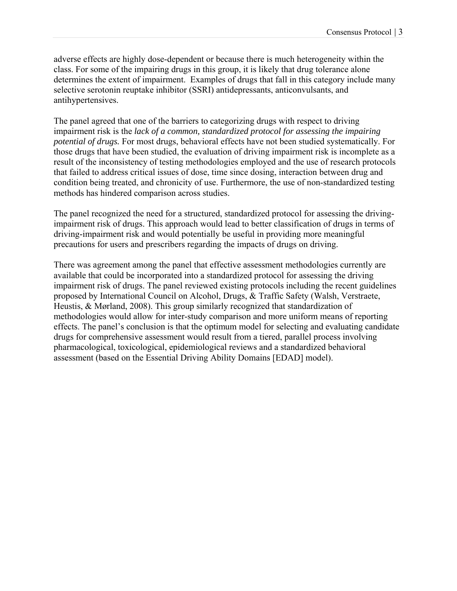adverse effects are highly dose-dependent or because there is much heterogeneity within the class. For some of the impairing drugs in this group, it is likely that drug tolerance alone determines the extent of impairment. Examples of drugs that fall in this category include many selective serotonin reuptake inhibitor (SSRI) antidepressants, anticonvulsants, and antihypertensives.

The panel agreed that one of the barriers to categorizing drugs with respect to driving impairment risk is the *lack of a common, standardized protocol for assessing the impairing potential of drugs.* For most drugs, behavioral effects have not been studied systematically. For those drugs that have been studied, the evaluation of driving impairment risk is incomplete as a result of the inconsistency of testing methodologies employed and the use of research protocols that failed to address critical issues of dose, time since dosing, interaction between drug and condition being treated, and chronicity of use. Furthermore, the use of non-standardized testing methods has hindered comparison across studies.

The panel recognized the need for a structured, standardized protocol for assessing the drivingimpairment risk of drugs. This approach would lead to better classification of drugs in terms of driving-impairment risk and would potentially be useful in providing more meaningful precautions for users and prescribers regarding the impacts of drugs on driving.

There was agreement among the panel that effective assessment methodologies currently are available that could be incorporated into a standardized protocol for assessing the driving impairment risk of drugs. The panel reviewed existing protocols including the recent guidelines proposed by International Council on Alcohol, Drugs, & Traffic Safety (Walsh, Verstraete, Heustis, & Mørland, 2008). This group similarly recognized that standardization of methodologies would allow for inter-study comparison and more uniform means of reporting effects. The panel's conclusion is that the optimum model for selecting and evaluating candidate drugs for comprehensive assessment would result from a tiered, parallel process involving pharmacological, toxicological, epidemiological reviews and a standardized behavioral assessment (based on the Essential Driving Ability Domains [EDAD] model).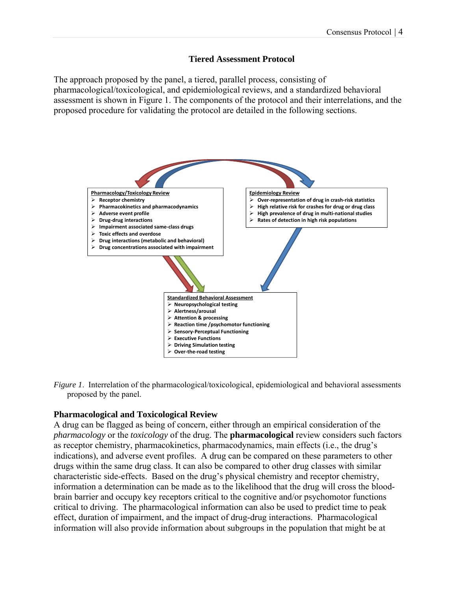## **Tiered Assessment Protocol**

The approach proposed by the panel, a tiered, parallel process, consisting of pharmacological/toxicological, and epidemiological reviews, and a standardized behavioral assessment is shown in Figure 1. The components of the protocol and their interrelations, and the proposed procedure for validating the protocol are detailed in the following sections.





# **Pharmacological and Toxicological Review**

A drug can be flagged as being of concern, either through an empirical consideration of the *pharmacology* or the *toxicology* of the drug. The **pharmacological** review considers such factors as receptor chemistry, pharmacokinetics, pharmacodynamics, main effects (i.e., the drug's indications), and adverse event profiles. A drug can be compared on these parameters to other drugs within the same drug class. It can also be compared to other drug classes with similar characteristic side-effects. Based on the drug's physical chemistry and receptor chemistry, information a determination can be made as to the likelihood that the drug will cross the bloodbrain barrier and occupy key receptors critical to the cognitive and/or psychomotor functions critical to driving. The pharmacological information can also be used to predict time to peak effect, duration of impairment, and the impact of drug-drug interactions. Pharmacological information will also provide information about subgroups in the population that might be at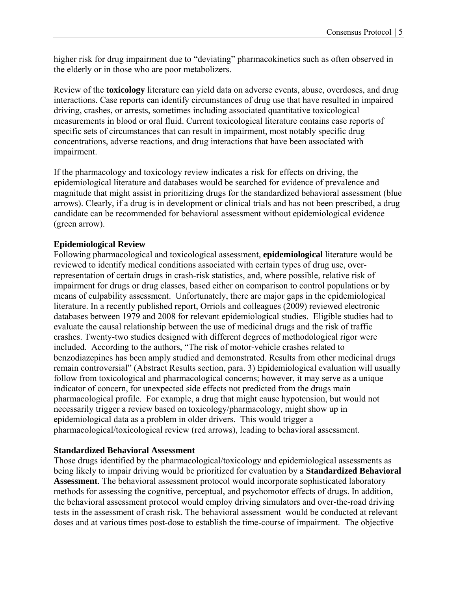higher risk for drug impairment due to "deviating" pharmacokinetics such as often observed in the elderly or in those who are poor metabolizers.

Review of the **toxicology** literature can yield data on adverse events, abuse, overdoses, and drug interactions. Case reports can identify circumstances of drug use that have resulted in impaired driving, crashes, or arrests, sometimes including associated quantitative toxicological measurements in blood or oral fluid. Current toxicological literature contains case reports of specific sets of circumstances that can result in impairment, most notably specific drug concentrations, adverse reactions, and drug interactions that have been associated with impairment.

If the pharmacology and toxicology review indicates a risk for effects on driving, the epidemiological literature and databases would be searched for evidence of prevalence and magnitude that might assist in prioritizing drugs for the standardized behavioral assessment (blue arrows). Clearly, if a drug is in development or clinical trials and has not been prescribed, a drug candidate can be recommended for behavioral assessment without epidemiological evidence (green arrow).

#### **Epidemiological Review**

Following pharmacological and toxicological assessment, **epidemiological** literature would be reviewed to identify medical conditions associated with certain types of drug use, overrepresentation of certain drugs in crash-risk statistics, and, where possible, relative risk of impairment for drugs or drug classes, based either on comparison to control populations or by means of culpability assessment. Unfortunately, there are major gaps in the epidemiological literature. In a recently published report, Orriols and colleagues (2009) reviewed electronic databases between 1979 and 2008 for relevant epidemiological studies. Eligible studies had to evaluate the causal relationship between the use of medicinal drugs and the risk of traffic crashes. Twenty-two studies designed with different degrees of methodological rigor were included. According to the authors, "The risk of motor-vehicle crashes related to benzodiazepines has been amply studied and demonstrated. Results from other medicinal drugs remain controversial" (Abstract Results section, para. 3) Epidemiological evaluation will usually follow from toxicological and pharmacological concerns; however, it may serve as a unique indicator of concern, for unexpected side effects not predicted from the drugs main pharmacological profile. For example, a drug that might cause hypotension, but would not necessarily trigger a review based on toxicology/pharmacology, might show up in epidemiological data as a problem in older drivers. This would trigger a pharmacological/toxicological review (red arrows), leading to behavioral assessment.

#### **Standardized Behavioral Assessment**

Those drugs identified by the pharmacological/toxicology and epidemiological assessments as being likely to impair driving would be prioritized for evaluation by a **Standardized Behavioral Assessment**. The behavioral assessment protocol would incorporate sophisticated laboratory methods for assessing the cognitive, perceptual, and psychomotor effects of drugs. In addition, the behavioral assessment protocol would employ driving simulators and over-the-road driving tests in the assessment of crash risk. The behavioral assessment would be conducted at relevant doses and at various times post-dose to establish the time-course of impairment. The objective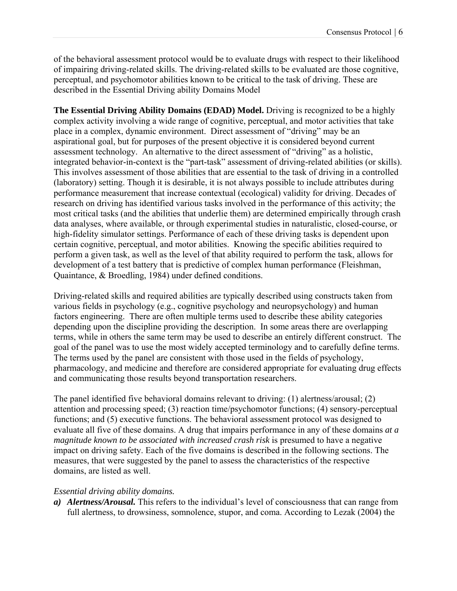of the behavioral assessment protocol would be to evaluate drugs with respect to their likelihood of impairing driving-related skills. The driving-related skills to be evaluated are those cognitive, perceptual, and psychomotor abilities known to be critical to the task of driving. These are described in the Essential Driving ability Domains Model

**The Essential Driving Ability Domains (EDAD) Model.** Driving is recognized to be a highly complex activity involving a wide range of cognitive, perceptual, and motor activities that take place in a complex, dynamic environment. Direct assessment of "driving" may be an aspirational goal, but for purposes of the present objective it is considered beyond current assessment technology. An alternative to the direct assessment of "driving" as a holistic, integrated behavior-in-context is the "part-task" assessment of driving-related abilities (or skills). This involves assessment of those abilities that are essential to the task of driving in a controlled (laboratory) setting. Though it is desirable, it is not always possible to include attributes during performance measurement that increase contextual (ecological) validity for driving. Decades of research on driving has identified various tasks involved in the performance of this activity; the most critical tasks (and the abilities that underlie them) are determined empirically through crash data analyses, where available, or through experimental studies in naturalistic, closed-course, or high-fidelity simulator settings. Performance of each of these driving tasks is dependent upon certain cognitive, perceptual, and motor abilities. Knowing the specific abilities required to perform a given task, as well as the level of that ability required to perform the task, allows for development of a test battery that is predictive of complex human performance (Fleishman, Quaintance, & Broedling, 1984) under defined conditions.

Driving-related skills and required abilities are typically described using constructs taken from various fields in psychology (e.g., cognitive psychology and neuropsychology) and human factors engineering. There are often multiple terms used to describe these ability categories depending upon the discipline providing the description. In some areas there are overlapping terms, while in others the same term may be used to describe an entirely different construct. The goal of the panel was to use the most widely accepted terminology and to carefully define terms. The terms used by the panel are consistent with those used in the fields of psychology, pharmacology, and medicine and therefore are considered appropriate for evaluating drug effects and communicating those results beyond transportation researchers.

The panel identified five behavioral domains relevant to driving: (1) alertness/arousal; (2) attention and processing speed; (3) reaction time/psychomotor functions; (4) sensory-perceptual functions; and (5) executive functions. The behavioral assessment protocol was designed to evaluate all five of these domains. A drug that impairs performance in any of these domains *at a magnitude known to be associated with increased crash risk* is presumed to have a negative impact on driving safety. Each of the five domains is described in the following sections. The measures, that were suggested by the panel to assess the characteristics of the respective domains, are listed as well.

#### *Essential driving ability domains.*

*a) Alertness/Arousal.* This refers to the individual's level of consciousness that can range from full alertness, to drowsiness, somnolence, stupor, and coma. According to Lezak (2004) the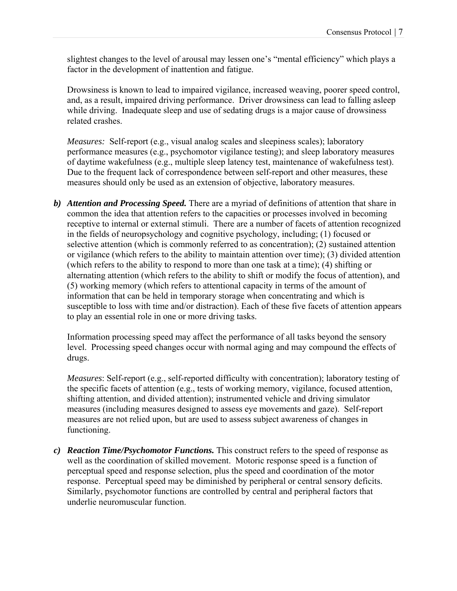slightest changes to the level of arousal may lessen one's "mental efficiency" which plays a factor in the development of inattention and fatigue.

Drowsiness is known to lead to impaired vigilance, increased weaving, poorer speed control, and, as a result, impaired driving performance. Driver drowsiness can lead to falling asleep while driving. Inadequate sleep and use of sedating drugs is a major cause of drowsiness related crashes.

*Measures:* Self-report (e.g., visual analog scales and sleepiness scales); laboratory performance measures (e.g., psychomotor vigilance testing); and sleep laboratory measures of daytime wakefulness (e.g., multiple sleep latency test, maintenance of wakefulness test). Due to the frequent lack of correspondence between self-report and other measures, these measures should only be used as an extension of objective, laboratory measures.

*b) Attention and Processing Speed.* There are a myriad of definitions of attention that share in common the idea that attention refers to the capacities or processes involved in becoming receptive to internal or external stimuli. There are a number of facets of attention recognized in the fields of neuropsychology and cognitive psychology, including; (1) focused or selective attention (which is commonly referred to as concentration); (2) sustained attention or vigilance (which refers to the ability to maintain attention over time); (3) divided attention (which refers to the ability to respond to more than one task at a time); (4) shifting or alternating attention (which refers to the ability to shift or modify the focus of attention), and (5) working memory (which refers to attentional capacity in terms of the amount of information that can be held in temporary storage when concentrating and which is susceptible to loss with time and/or distraction). Each of these five facets of attention appears to play an essential role in one or more driving tasks.

Information processing speed may affect the performance of all tasks beyond the sensory level. Processing speed changes occur with normal aging and may compound the effects of drugs.

*Measures*: Self-report (e.g., self-reported difficulty with concentration); laboratory testing of the specific facets of attention (e.g., tests of working memory, vigilance, focused attention, shifting attention, and divided attention); instrumented vehicle and driving simulator measures (including measures designed to assess eye movements and gaze). Self-report measures are not relied upon, but are used to assess subject awareness of changes in functioning.

*c) Reaction Time/Psychomotor Functions.* This construct refers to the speed of response as well as the coordination of skilled movement. Motoric response speed is a function of perceptual speed and response selection, plus the speed and coordination of the motor response. Perceptual speed may be diminished by peripheral or central sensory deficits. Similarly, psychomotor functions are controlled by central and peripheral factors that underlie neuromuscular function.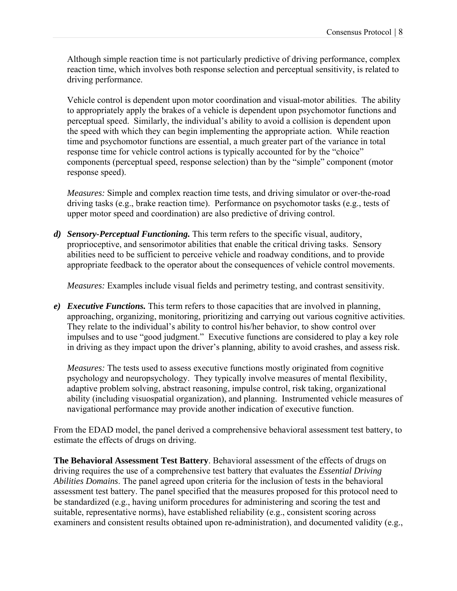Although simple reaction time is not particularly predictive of driving performance, complex reaction time, which involves both response selection and perceptual sensitivity, is related to driving performance.

Vehicle control is dependent upon motor coordination and visual-motor abilities. The ability to appropriately apply the brakes of a vehicle is dependent upon psychomotor functions and perceptual speed. Similarly, the individual's ability to avoid a collision is dependent upon the speed with which they can begin implementing the appropriate action. While reaction time and psychomotor functions are essential, a much greater part of the variance in total response time for vehicle control actions is typically accounted for by the "choice" components (perceptual speed, response selection) than by the "simple" component (motor response speed).

*Measures:* Simple and complex reaction time tests, and driving simulator or over-the-road driving tasks (e.g., brake reaction time). Performance on psychomotor tasks (e.g., tests of upper motor speed and coordination) are also predictive of driving control.

*d) Sensory-Perceptual Functioning.* This term refers to the specific visual, auditory, proprioceptive, and sensorimotor abilities that enable the critical driving tasks. Sensory abilities need to be sufficient to perceive vehicle and roadway conditions, and to provide appropriate feedback to the operator about the consequences of vehicle control movements.

*Measures:* Examples include visual fields and perimetry testing, and contrast sensitivity.

*e) Executive Functions.* This term refers to those capacities that are involved in planning, approaching, organizing, monitoring, prioritizing and carrying out various cognitive activities. They relate to the individual's ability to control his/her behavior, to show control over impulses and to use "good judgment." Executive functions are considered to play a key role in driving as they impact upon the driver's planning, ability to avoid crashes, and assess risk.

*Measures:* The tests used to assess executive functions mostly originated from cognitive psychology and neuropsychology. They typically involve measures of mental flexibility, adaptive problem solving, abstract reasoning, impulse control, risk taking, organizational ability (including visuospatial organization), and planning. Instrumented vehicle measures of navigational performance may provide another indication of executive function.

From the EDAD model, the panel derived a comprehensive behavioral assessment test battery, to estimate the effects of drugs on driving.

**The Behavioral Assessment Test Battery**. Behavioral assessment of the effects of drugs on driving requires the use of a comprehensive test battery that evaluates the *Essential Driving Abilities Domains*. The panel agreed upon criteria for the inclusion of tests in the behavioral assessment test battery. The panel specified that the measures proposed for this protocol need to be standardized (e.g., having uniform procedures for administering and scoring the test and suitable, representative norms), have established reliability (e.g., consistent scoring across examiners and consistent results obtained upon re-administration), and documented validity (e.g.,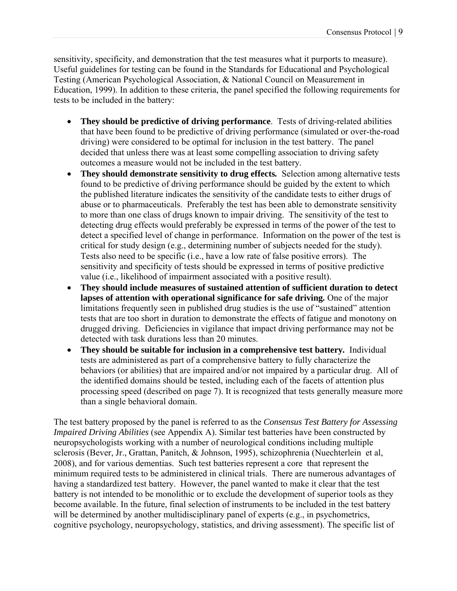sensitivity, specificity, and demonstration that the test measures what it purports to measure). Useful guidelines for testing can be found in the Standards for Educational and Psychological Testing (American Psychological Association, & National Council on Measurement in Education, 1999). In addition to these criteria, the panel specified the following requirements for tests to be included in the battery:

- **They should be predictive of driving performance**. Tests of driving-related abilities that have been found to be predictive of driving performance (simulated or over-the-road driving) were considered to be optimal for inclusion in the test battery. The panel decided that unless there was at least some compelling association to driving safety outcomes a measure would not be included in the test battery.
- **They should demonstrate sensitivity to drug effects***.* Selection among alternative tests found to be predictive of driving performance should be guided by the extent to which the published literature indicates the sensitivity of the candidate tests to either drugs of abuse or to pharmaceuticals. Preferably the test has been able to demonstrate sensitivity to more than one class of drugs known to impair driving. The sensitivity of the test to detecting drug effects would preferably be expressed in terms of the power of the test to detect a specified level of change in performance. Information on the power of the test is critical for study design (e.g., determining number of subjects needed for the study). Tests also need to be specific (i.e., have a low rate of false positive errors). The sensitivity and specificity of tests should be expressed in terms of positive predictive value (i.e., likelihood of impairment associated with a positive result).
- **They should include measures of sustained attention of sufficient duration to detect lapses of attention with operational significance for safe driving***.* One of the major limitations frequently seen in published drug studies is the use of "sustained" attention tests that are too short in duration to demonstrate the effects of fatigue and monotony on drugged driving. Deficiencies in vigilance that impact driving performance may not be detected with task durations less than 20 minutes.
- **They should be suitable for inclusion in a comprehensive test battery***.* Individual tests are administered as part of a comprehensive battery to fully characterize the behaviors (or abilities) that are impaired and/or not impaired by a particular drug. All of the identified domains should be tested, including each of the facets of attention plus processing speed (described on page 7). It is recognized that tests generally measure more than a single behavioral domain.

The test battery proposed by the panel is referred to as the *Consensus Test Battery for Assessing Impaired Driving Abilities* (see Appendix A). Similar test batteries have been constructed by neuropsychologists working with a number of neurological conditions including multiple sclerosis (Bever, Jr., Grattan, Panitch, & Johnson, 1995), schizophrenia (Nuechterlein et al, 2008), and for various dementias. Such test batteries represent a core that represent the minimum required tests to be administered in clinical trials. There are numerous advantages of having a standardized test battery. However, the panel wanted to make it clear that the test battery is not intended to be monolithic or to exclude the development of superior tools as they become available. In the future, final selection of instruments to be included in the test battery will be determined by another multidisciplinary panel of experts (e.g., in psychometrics, cognitive psychology, neuropsychology, statistics, and driving assessment). The specific list of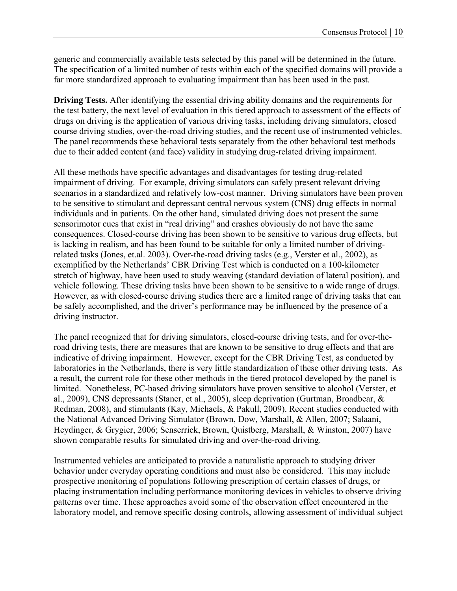generic and commercially available tests selected by this panel will be determined in the future. The specification of a limited number of tests within each of the specified domains will provide a far more standardized approach to evaluating impairment than has been used in the past.

**Driving Tests.** After identifying the essential driving ability domains and the requirements for the test battery, the next level of evaluation in this tiered approach to assessment of the effects of drugs on driving is the application of various driving tasks, including driving simulators, closed course driving studies, over-the-road driving studies, and the recent use of instrumented vehicles. The panel recommends these behavioral tests separately from the other behavioral test methods due to their added content (and face) validity in studying drug-related driving impairment.

All these methods have specific advantages and disadvantages for testing drug-related impairment of driving. For example, driving simulators can safely present relevant driving scenarios in a standardized and relatively low-cost manner. Driving simulators have been proven to be sensitive to stimulant and depressant central nervous system (CNS) drug effects in normal individuals and in patients. On the other hand, simulated driving does not present the same sensorimotor cues that exist in "real driving" and crashes obviously do not have the same consequences. Closed-course driving has been shown to be sensitive to various drug effects, but is lacking in realism, and has been found to be suitable for only a limited number of drivingrelated tasks (Jones, et.al. 2003). Over-the-road driving tasks (e.g., Verster et al., 2002), as exemplified by the Netherlands' CBR Driving Test which is conducted on a 100-kilometer stretch of highway, have been used to study weaving (standard deviation of lateral position), and vehicle following. These driving tasks have been shown to be sensitive to a wide range of drugs. However, as with closed-course driving studies there are a limited range of driving tasks that can be safely accomplished, and the driver's performance may be influenced by the presence of a driving instructor.

The panel recognized that for driving simulators, closed-course driving tests, and for over-theroad driving tests, there are measures that are known to be sensitive to drug effects and that are indicative of driving impairment. However, except for the CBR Driving Test, as conducted by laboratories in the Netherlands, there is very little standardization of these other driving tests. As a result, the current role for these other methods in the tiered protocol developed by the panel is limited. Nonetheless, PC-based driving simulators have proven sensitive to alcohol (Verster, et al., 2009), CNS depressants (Staner, et al., 2005), sleep deprivation (Gurtman, Broadbear, & Redman, 2008), and stimulants (Kay, Michaels, & Pakull, 2009). Recent studies conducted with the National Advanced Driving Simulator (Brown, Dow, Marshall, & Allen, 2007; Salaani, Heydinger, & Grygier, 2006; Senserrick, Brown, Quistberg, Marshall, & Winston, 2007) have shown comparable results for simulated driving and over-the-road driving.

Instrumented vehicles are anticipated to provide a naturalistic approach to studying driver behavior under everyday operating conditions and must also be considered. This may include prospective monitoring of populations following prescription of certain classes of drugs, or placing instrumentation including performance monitoring devices in vehicles to observe driving patterns over time. These approaches avoid some of the observation effect encountered in the laboratory model, and remove specific dosing controls, allowing assessment of individual subject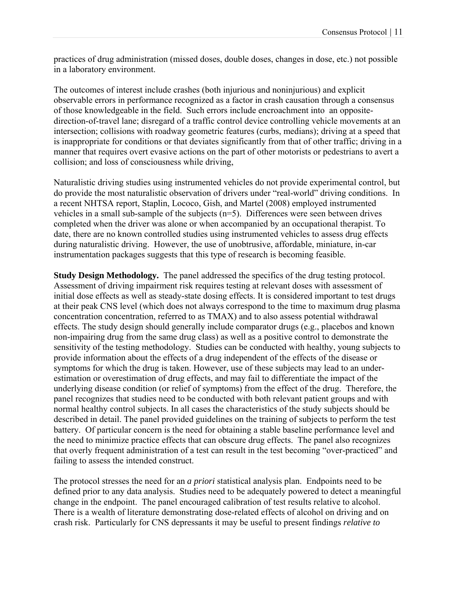practices of drug administration (missed doses, double doses, changes in dose, etc.) not possible in a laboratory environment.

The outcomes of interest include crashes (both injurious and noninjurious) and explicit observable errors in performance recognized as a factor in crash causation through a consensus of those knowledgeable in the field. Such errors include encroachment into an oppositedirection-of-travel lane; disregard of a traffic control device controlling vehicle movements at an intersection; collisions with roadway geometric features (curbs, medians); driving at a speed that is inappropriate for conditions or that deviates significantly from that of other traffic; driving in a manner that requires overt evasive actions on the part of other motorists or pedestrians to avert a collision; and loss of consciousness while driving,

Naturalistic driving studies using instrumented vehicles do not provide experimental control, but do provide the most naturalistic observation of drivers under "real-world" driving conditions. In a recent NHTSA report, Staplin, Lococo, Gish, and Martel (2008) employed instrumented vehicles in a small sub-sample of the subjects (n=5). Differences were seen between drives completed when the driver was alone or when accompanied by an occupational therapist. To date, there are no known controlled studies using instrumented vehicles to assess drug effects during naturalistic driving. However, the use of unobtrusive, affordable, miniature, in-car instrumentation packages suggests that this type of research is becoming feasible.

**Study Design Methodology.** The panel addressed the specifics of the drug testing protocol. Assessment of driving impairment risk requires testing at relevant doses with assessment of initial dose effects as well as steady-state dosing effects. It is considered important to test drugs at their peak CNS level (which does not always correspond to the time to maximum drug plasma concentration concentration, referred to as TMAX) and to also assess potential withdrawal effects. The study design should generally include comparator drugs (e.g., placebos and known non-impairing drug from the same drug class) as well as a positive control to demonstrate the sensitivity of the testing methodology. Studies can be conducted with healthy, young subjects to provide information about the effects of a drug independent of the effects of the disease or symptoms for which the drug is taken. However, use of these subjects may lead to an underestimation or overestimation of drug effects, and may fail to differentiate the impact of the underlying disease condition (or relief of symptoms) from the effect of the drug. Therefore, the panel recognizes that studies need to be conducted with both relevant patient groups and with normal healthy control subjects. In all cases the characteristics of the study subjects should be described in detail. The panel provided guidelines on the training of subjects to perform the test battery. Of particular concern is the need for obtaining a stable baseline performance level and the need to minimize practice effects that can obscure drug effects. The panel also recognizes that overly frequent administration of a test can result in the test becoming "over-practiced" and failing to assess the intended construct.

The protocol stresses the need for an *a priori* statistical analysis plan. Endpoints need to be defined prior to any data analysis. Studies need to be adequately powered to detect a meaningful change in the endpoint. The panel encouraged calibration of test results relative to alcohol. There is a wealth of literature demonstrating dose-related effects of alcohol on driving and on crash risk. Particularly for CNS depressants it may be useful to present findings *relative to*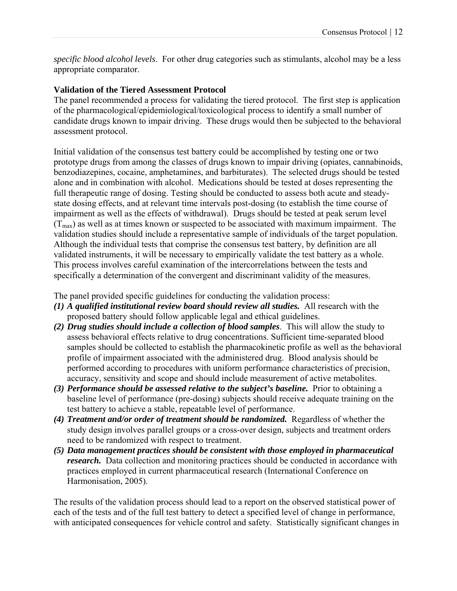*specific blood alcohol levels*. For other drug categories such as stimulants, alcohol may be a less appropriate comparator.

# **Validation of the Tiered Assessment Protocol**

The panel recommended a process for validating the tiered protocol. The first step is application of the pharmacological/epidemiological/toxicological process to identify a small number of candidate drugs known to impair driving. These drugs would then be subjected to the behavioral assessment protocol.

Initial validation of the consensus test battery could be accomplished by testing one or two prototype drugs from among the classes of drugs known to impair driving (opiates, cannabinoids, benzodiazepines, cocaine, amphetamines, and barbiturates). The selected drugs should be tested alone and in combination with alcohol. Medications should be tested at doses representing the full therapeutic range of dosing. Testing should be conducted to assess both acute and steadystate dosing effects, and at relevant time intervals post-dosing (to establish the time course of impairment as well as the effects of withdrawal). Drugs should be tested at peak serum level  $(T_{\text{max}})$  as well as at times known or suspected to be associated with maximum impairment. The validation studies should include a representative sample of individuals of the target population. Although the individual tests that comprise the consensus test battery, by definition are all validated instruments, it will be necessary to empirically validate the test battery as a whole. This process involves careful examination of the intercorrelations between the tests and specifically a determination of the convergent and discriminant validity of the measures.

The panel provided specific guidelines for conducting the validation process:

- *(1) A qualified institutional review board should review all studies.* All research with the proposed battery should follow applicable legal and ethical guidelines.
- *(2) Drug studies should include a collection of blood samples*. This will allow the study to assess behavioral effects relative to drug concentrations. Sufficient time-separated blood samples should be collected to establish the pharmacokinetic profile as well as the behavioral profile of impairment associated with the administered drug. Blood analysis should be performed according to procedures with uniform performance characteristics of precision, accuracy, sensitivity and scope and should include measurement of active metabolites.
- *(3) Performance should be assessed relative to the subject's baseline.* Prior to obtaining a baseline level of performance (pre-dosing) subjects should receive adequate training on the test battery to achieve a stable, repeatable level of performance.
- *(4) Treatment and/or order of treatment should be randomized.* Regardless of whether the study design involves parallel groups or a cross-over design, subjects and treatment orders need to be randomized with respect to treatment.
- *(5) Data management practices should be consistent with those employed in pharmaceutical research.* Data collection and monitoring practices should be conducted in accordance with practices employed in current pharmaceutical research (International Conference on Harmonisation, 2005).

The results of the validation process should lead to a report on the observed statistical power of each of the tests and of the full test battery to detect a specified level of change in performance, with anticipated consequences for vehicle control and safety. Statistically significant changes in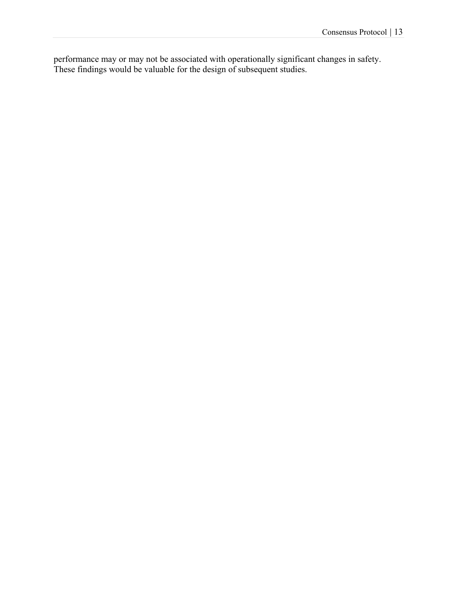performance may or may not be associated with operationally significant changes in safety. These findings would be valuable for the design of subsequent studies.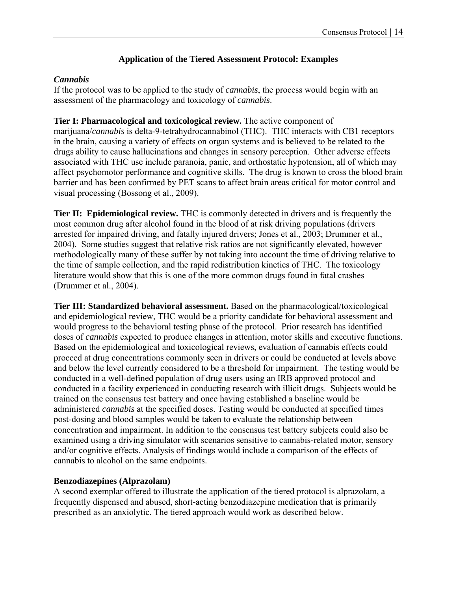# **Application of the Tiered Assessment Protocol: Examples**

# *Cannabis*

If the protocol was to be applied to the study of *cannabis*, the process would begin with an assessment of the pharmacology and toxicology of *cannabis*.

**Tier I: Pharmacological and toxicological review.** The active component of marijuana/*cannabis* is delta-9-tetrahydrocannabinol (THC). THC interacts with CB1 receptors in the brain, causing a variety of effects on organ systems and is believed to be related to the drugs ability to cause hallucinations and changes in sensory perception. Other adverse effects associated with THC use include paranoia, panic, and orthostatic hypotension, all of which may affect psychomotor performance and cognitive skills. The drug is known to cross the blood brain barrier and has been confirmed by PET scans to affect brain areas critical for motor control and visual processing (Bossong et al., 2009).

**Tier II: Epidemiological review.** THC is commonly detected in drivers and is frequently the most common drug after alcohol found in the blood of at risk driving populations (drivers arrested for impaired driving, and fatally injured drivers; Jones et al., 2003; Drummer et al., 2004). Some studies suggest that relative risk ratios are not significantly elevated, however methodologically many of these suffer by not taking into account the time of driving relative to the time of sample collection, and the rapid redistribution kinetics of THC. The toxicology literature would show that this is one of the more common drugs found in fatal crashes (Drummer et al., 2004).

**Tier III: Standardized behavioral assessment.** Based on the pharmacological/toxicological and epidemiological review, THC would be a priority candidate for behavioral assessment and would progress to the behavioral testing phase of the protocol. Prior research has identified doses of *cannabis* expected to produce changes in attention, motor skills and executive functions. Based on the epidemiological and toxicological reviews, evaluation of cannabis effects could proceed at drug concentrations commonly seen in drivers or could be conducted at levels above and below the level currently considered to be a threshold for impairment. The testing would be conducted in a well-defined population of drug users using an IRB approved protocol and conducted in a facility experienced in conducting research with illicit drugs. Subjects would be trained on the consensus test battery and once having established a baseline would be administered *cannabis* at the specified doses. Testing would be conducted at specified times post-dosing and blood samples would be taken to evaluate the relationship between concentration and impairment. In addition to the consensus test battery subjects could also be examined using a driving simulator with scenarios sensitive to cannabis-related motor, sensory and/or cognitive effects. Analysis of findings would include a comparison of the effects of cannabis to alcohol on the same endpoints.

# **Benzodiazepines (Alprazolam)**

A second exemplar offered to illustrate the application of the tiered protocol is alprazolam, a frequently dispensed and abused, short-acting benzodiazepine medication that is primarily prescribed as an anxiolytic. The tiered approach would work as described below.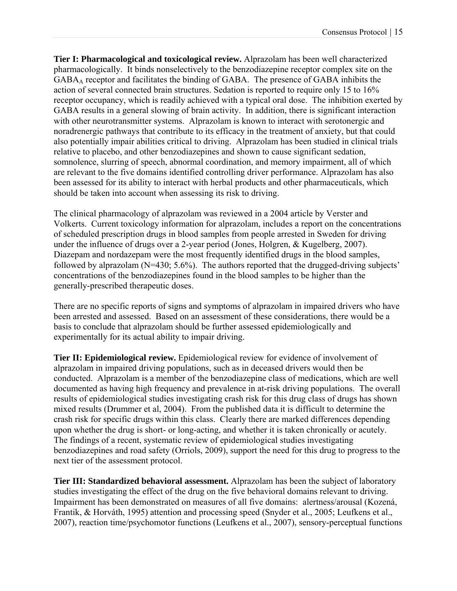**Tier I: Pharmacological and toxicological review.** Alprazolam has been well characterized pharmacologically. It binds nonselectively to the benzodiazepine receptor complex site on the GABAA receptor and facilitates the binding of GABA. The presence of GABA inhibits the action of several connected brain structures. Sedation is reported to require only 15 to 16% receptor occupancy, which is readily achieved with a typical oral dose. The inhibition exerted by GABA results in a general slowing of brain activity. In addition, there is significant interaction with other neurotransmitter systems. Alprazolam is known to interact with serotonergic and noradrenergic pathways that contribute to its efficacy in the treatment of anxiety, but that could also potentially impair abilities critical to driving. Alprazolam has been studied in clinical trials relative to placebo, and other benzodiazepines and shown to cause significant sedation, somnolence, slurring of speech, abnormal coordination, and memory impairment, all of which are relevant to the five domains identified controlling driver performance. Alprazolam has also been assessed for its ability to interact with herbal products and other pharmaceuticals, which should be taken into account when assessing its risk to driving.

The clinical pharmacology of alprazolam was reviewed in a 2004 article by Verster and Volkerts. Current toxicology information for alprazolam, includes a report on the concentrations of scheduled prescription drugs in blood samples from people arrested in Sweden for driving under the influence of drugs over a 2-year period (Jones, Holgren, & Kugelberg, 2007). Diazepam and nordazepam were the most frequently identified drugs in the blood samples, followed by alprazolam (N=430; 5.6%). The authors reported that the drugged-driving subjects' concentrations of the benzodiazepines found in the blood samples to be higher than the generally-prescribed therapeutic doses.

There are no specific reports of signs and symptoms of alprazolam in impaired drivers who have been arrested and assessed. Based on an assessment of these considerations, there would be a basis to conclude that alprazolam should be further assessed epidemiologically and experimentally for its actual ability to impair driving.

**Tier II: Epidemiological review.** Epidemiological review for evidence of involvement of alprazolam in impaired driving populations, such as in deceased drivers would then be conducted. Alprazolam is a member of the benzodiazepine class of medications, which are well documented as having high frequency and prevalence in at-risk driving populations. The overall results of epidemiological studies investigating crash risk for this drug class of drugs has shown mixed results (Drummer et al, 2004). From the published data it is difficult to determine the crash risk for specific drugs within this class. Clearly there are marked differences depending upon whether the drug is short- or long-acting, and whether it is taken chronically or acutely. The findings of a recent, systematic review of epidemiological studies investigating benzodiazepines and road safety (Orriols, 2009), support the need for this drug to progress to the next tier of the assessment protocol.

**Tier III: Standardized behavioral assessment.** Alprazolam has been the subject of laboratory studies investigating the effect of the drug on the five behavioral domains relevant to driving. Impairment has been demonstrated on measures of all five domains: alertness/arousal (Kozená, Frantik, & Horváth, 1995) attention and processing speed (Snyder et al., 2005; Leufkens et al., 2007), reaction time/psychomotor functions (Leufkens et al., 2007), sensory-perceptual functions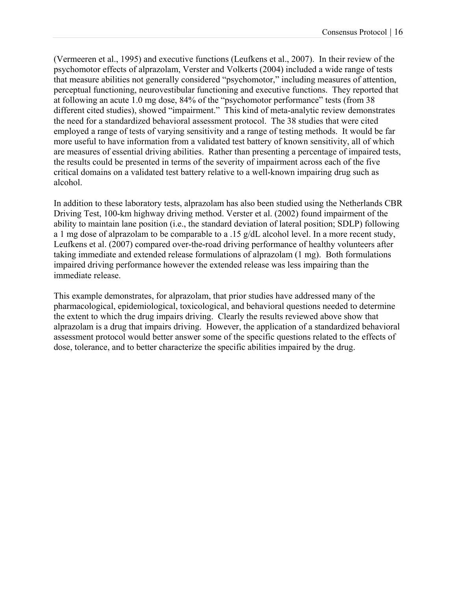(Vermeeren et al., 1995) and executive functions (Leufkens et al., 2007). In their review of the psychomotor effects of alprazolam, Verster and Volkerts (2004) included a wide range of tests that measure abilities not generally considered "psychomotor," including measures of attention, perceptual functioning, neurovestibular functioning and executive functions. They reported that at following an acute 1.0 mg dose, 84% of the "psychomotor performance" tests (from 38 different cited studies), showed "impairment." This kind of meta-analytic review demonstrates the need for a standardized behavioral assessment protocol. The 38 studies that were cited employed a range of tests of varying sensitivity and a range of testing methods. It would be far more useful to have information from a validated test battery of known sensitivity, all of which are measures of essential driving abilities. Rather than presenting a percentage of impaired tests, the results could be presented in terms of the severity of impairment across each of the five critical domains on a validated test battery relative to a well-known impairing drug such as alcohol.

In addition to these laboratory tests, alprazolam has also been studied using the Netherlands CBR Driving Test, 100-km highway driving method. Verster et al. (2002) found impairment of the ability to maintain lane position (i.e., the standard deviation of lateral position; SDLP) following a 1 mg dose of alprazolam to be comparable to a .15 g/dL alcohol level. In a more recent study, Leufkens et al. (2007) compared over-the-road driving performance of healthy volunteers after taking immediate and extended release formulations of alprazolam (1 mg). Both formulations impaired driving performance however the extended release was less impairing than the immediate release.

This example demonstrates, for alprazolam, that prior studies have addressed many of the pharmacological, epidemiological, toxicological, and behavioral questions needed to determine the extent to which the drug impairs driving. Clearly the results reviewed above show that alprazolam is a drug that impairs driving. However, the application of a standardized behavioral assessment protocol would better answer some of the specific questions related to the effects of dose, tolerance, and to better characterize the specific abilities impaired by the drug.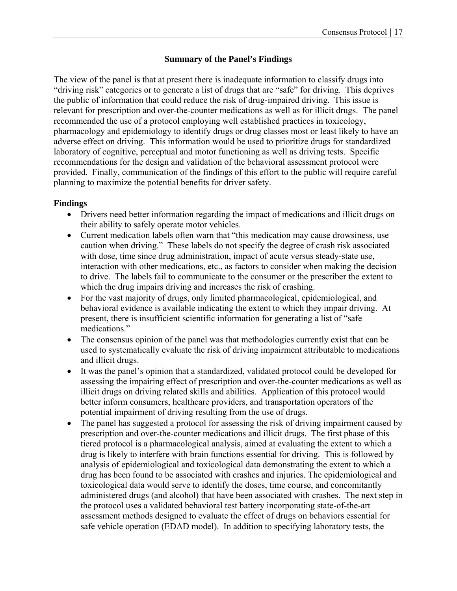# **Summary of the Panel's Findings**

The view of the panel is that at present there is inadequate information to classify drugs into "driving risk" categories or to generate a list of drugs that are "safe" for driving. This deprives the public of information that could reduce the risk of drug-impaired driving. This issue is relevant for prescription and over-the-counter medications as well as for illicit drugs. The panel recommended the use of a protocol employing well established practices in toxicology, pharmacology and epidemiology to identify drugs or drug classes most or least likely to have an adverse effect on driving. This information would be used to prioritize drugs for standardized laboratory of cognitive, perceptual and motor functioning as well as driving tests. Specific recommendations for the design and validation of the behavioral assessment protocol were provided. Finally, communication of the findings of this effort to the public will require careful planning to maximize the potential benefits for driver safety.

# **Findings**

- Drivers need better information regarding the impact of medications and illicit drugs on their ability to safely operate motor vehicles.
- Current medication labels often warn that "this medication may cause drowsiness, use caution when driving." These labels do not specify the degree of crash risk associated with dose, time since drug administration, impact of acute versus steady-state use, interaction with other medications, etc., as factors to consider when making the decision to drive. The labels fail to communicate to the consumer or the prescriber the extent to which the drug impairs driving and increases the risk of crashing.
- For the vast majority of drugs, only limited pharmacological, epidemiological, and behavioral evidence is available indicating the extent to which they impair driving. At present, there is insufficient scientific information for generating a list of "safe medications."
- The consensus opinion of the panel was that methodologies currently exist that can be used to systematically evaluate the risk of driving impairment attributable to medications and illicit drugs.
- It was the panel's opinion that a standardized, validated protocol could be developed for assessing the impairing effect of prescription and over-the-counter medications as well as illicit drugs on driving related skills and abilities. Application of this protocol would better inform consumers, healthcare providers, and transportation operators of the potential impairment of driving resulting from the use of drugs.
- The panel has suggested a protocol for assessing the risk of driving impairment caused by prescription and over-the-counter medications and illicit drugs. The first phase of this tiered protocol is a pharmacological analysis, aimed at evaluating the extent to which a drug is likely to interfere with brain functions essential for driving. This is followed by analysis of epidemiological and toxicological data demonstrating the extent to which a drug has been found to be associated with crashes and injuries. The epidemiological and toxicological data would serve to identify the doses, time course, and concomitantly administered drugs (and alcohol) that have been associated with crashes. The next step in the protocol uses a validated behavioral test battery incorporating state-of-the-art assessment methods designed to evaluate the effect of drugs on behaviors essential for safe vehicle operation (EDAD model). In addition to specifying laboratory tests, the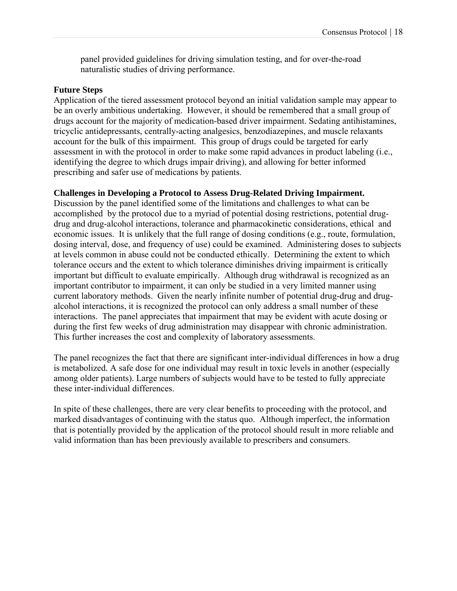panel provided guidelines for driving simulation testing, and for over-the-road naturalistic studies of driving performance.

#### **Future Steps**

Application of the tiered assessment protocol beyond an initial validation sample may appear to be an overly ambitious undertaking. However, it should be remembered that a small group of drugs account for the majority of medication-based driver impairment. Sedating antihistamines, tricyclic antidepressants, centrally-acting analgesics, benzodiazepines, and muscle relaxants account for the bulk of this impairment. This group of drugs could be targeted for early assessment in with the protocol in order to make some rapid advances in product labeling (i.e., identifying the degree to which drugs impair driving), and allowing for better informed prescribing and safer use of medications by patients.

# **Challenges in Developing a Protocol to Assess Drug-Related Driving Impairment.**

Discussion by the panel identified some of the limitations and challenges to what can be accomplished by the protocol due to a myriad of potential dosing restrictions, potential drugdrug and drug-alcohol interactions, tolerance and pharmacokinetic considerations, ethical and economic issues. It is unlikely that the full range of dosing conditions (e.g., route, formulation, dosing interval, dose, and frequency of use) could be examined. Administering doses to subjects at levels common in abuse could not be conducted ethically. Determining the extent to which tolerance occurs and the extent to which tolerance diminishes driving impairment is critically important but difficult to evaluate empirically. Although drug withdrawal is recognized as an important contributor to impairment, it can only be studied in a very limited manner using current laboratory methods. Given the nearly infinite number of potential drug-drug and drugalcohol interactions, it is recognized the protocol can only address a small number of these interactions. The panel appreciates that impairment that may be evident with acute dosing or during the first few weeks of drug administration may disappear with chronic administration. This further increases the cost and complexity of laboratory assessments.

The panel recognizes the fact that there are significant inter-individual differences in how a drug is metabolized. A safe dose for one individual may result in toxic levels in another (especially among older patients). Large numbers of subjects would have to be tested to fully appreciate these inter-individual differences.

In spite of these challenges, there are very clear benefits to proceeding with the protocol, and marked disadvantages of continuing with the status quo. Although imperfect, the information that is potentially provided by the application of the protocol should result in more reliable and valid information than has been previously available to prescribers and consumers.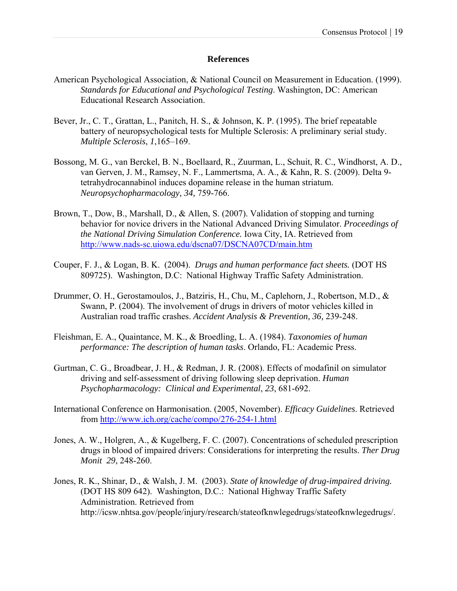#### **References**

- American Psychological Association, & National Council on Measurement in Education. (1999). *Standards for Educational and Psychological Testing*. Washington, DC: American Educational Research Association.
- Bever, Jr., C. T., Grattan, L., Panitch, H. S., & Johnson, K. P. (1995). The brief repeatable battery of neuropsychological tests for Multiple Sclerosis: A preliminary serial study. *Multiple Sclerosis*, *1*,165–169.
- Bossong, M. G., van Berckel, B. N., Boellaard, R., Zuurman, L., Schuit, R. C., Windhorst, A. D., van Gerven, J. M., Ramsey, N. F., Lammertsma, A. A., & Kahn, R. S. (2009). Delta 9 tetrahydrocannabinol induces dopamine release in the human striatum. *Neuropsychopharmacology, 34,* 759-766.
- Brown, T., Dow, B., Marshall, D., & Allen, S. (2007). Validation of stopping and turning behavior for novice drivers in the National Advanced Driving Simulator. *Proceedings of the National Driving Simulation Conference.* Iowa City, IA. Retrieved from http://www.nads-sc.uiowa.edu/dscna07/DSCNA07CD/main.htm
- Couper, F. J., & Logan, B. K. (2004). *Drugs and human performance fact sheets.* (DOT HS 809725). Washington, D.C: National Highway Traffic Safety Administration.
- Drummer, O. H., Gerostamoulos, J., Batziris, H., Chu, M., Caplehorn, J., Robertson, M.D., & Swann, P. (2004). The involvement of drugs in drivers of motor vehicles killed in Australian road traffic crashes. *Accident Analysis & Prevention, 36,* 239-248.
- Fleishman, E. A., Quaintance, M. K., & Broedling, L. A. (1984). *Taxonomies of human performance: The description of human tasks*. Orlando, FL: Academic Press.
- Gurtman, C. G., Broadbear, J. H., & Redman, J. R. (2008). Effects of modafinil on simulator driving and self-assessment of driving following sleep deprivation. *Human Psychopharmacology: Clinical and Experimental*, *23*, 681-692.
- International Conference on Harmonisation. (2005, November). *Efficacy Guidelines*. Retrieved from http://www.ich.org/cache/compo/276-254-1.html
- Jones, A. W., Holgren, A., & Kugelberg, F. C. (2007). Concentrations of scheduled prescription drugs in blood of impaired drivers: Considerations for interpreting the results. *Ther Drug Monit 29*, 248-260.
- Jones, R. K., Shinar, D., & Walsh, J. M. (2003). *State of knowledge of drug-impaired driving.*  (DOT HS 809 642). Washington, D.C.: National Highway Traffic Safety Administration. Retrieved from http://icsw.nhtsa.gov/people/injury/research/stateofknwlegedrugs/stateofknwlegedrugs/.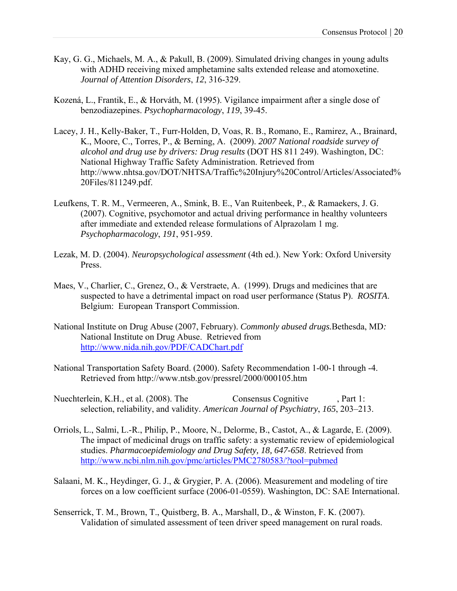- Kay, G. G., Michaels, M. A., & Pakull, B. (2009). Simulated driving changes in young adults with ADHD receiving mixed amphetamine salts extended release and atomoxetine. *Journal of Attention Disorders*, *12*, 316-329.
- Kozená, L., Frantik, E., & Horváth, M. (1995). Vigilance impairment after a single dose of benzodiazepines. *Psychopharmacology*, *119*, 39-45.
- Lacey, J. H., Kelly-Baker, T., Furr-Holden, D, Voas, R. B., Romano, E., Ramirez, A., Brainard, K., Moore, C., Torres, P., & Berning, A. (2009). *2007 National roadside survey of alcohol and drug use by drivers: Drug results* (DOT HS 811 249). Washington, DC: National Highway Traffic Safety Administration. Retrieved from http://www.nhtsa.gov/DOT/NHTSA/Traffic%20Injury%20Control/Articles/Associated% 20Files/811249.pdf.
- Leufkens, T. R. M., Vermeeren, A., Smink, B. E., Van Ruitenbeek, P., & Ramaekers, J. G. (2007). Cognitive, psychomotor and actual driving performance in healthy volunteers after immediate and extended release formulations of Alprazolam 1 mg. *Psychopharmacology*, *191*, 951-959.
- Lezak, M. D. (2004). *Neuropsychological assessment* (4th ed.). New York: Oxford University Press.
- Maes, V., Charlier, C., Grenez, O., & Verstraete, A. (1999). Drugs and medicines that are suspected to have a detrimental impact on road user performance (Status P). *ROSITA*. Belgium: European Transport Commission.
- National Institute on Drug Abuse (2007, February). *Commonly abused drugs.*Bethesda, MD*:* National Institute on Drug Abuse. Retrieved from http://www.nida.nih.gov/PDF/CADChart.pdf
- National Transportation Safety Board. (2000). Safety Recommendation 1-00-1 through -4. Retrieved from http://www.ntsb.gov/pressrel/2000/000105.htm
- Nuechterlein, K.H., et al. (2008). The Consensus Cognitive Part 1: selection, reliability, and validity. *American Journal of Psychiatry*, *165*, 203–213.
- Orriols, L., Salmi, L.-R., Philip, P., Moore, N., Delorme, B., Castot, A., & Lagarde, E. (2009). The impact of medicinal drugs on traffic safety: a systematic review of epidemiological studies. *Pharmacoepidemiology and Drug Safety, 18, 647-658*. Retrieved from http://www.ncbi.nlm.nih.gov/pmc/articles/PMC2780583/?tool=pubmed
- Salaani, M. K., Heydinger, G. J., & Grygier, P. A. (2006). Measurement and modeling of tire forces on a low coefficient surface (2006-01-0559). Washington, DC: SAE International.
- Senserrick, T. M., Brown, T., Quistberg, B. A., Marshall, D., & Winston, F. K. (2007). Validation of simulated assessment of teen driver speed management on rural roads.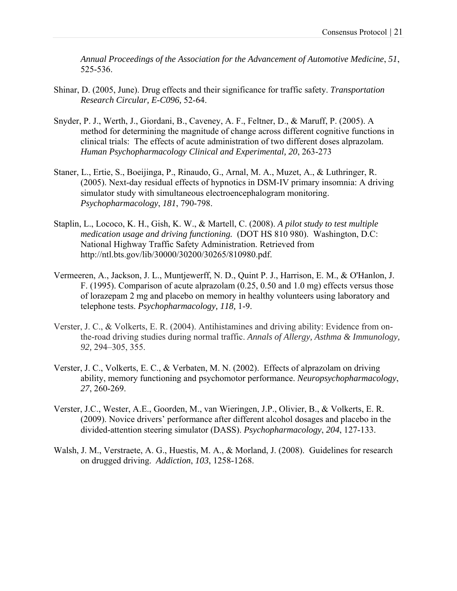*Annual Proceedings of the Association for the Advancement of Automotive Medicine*, *51*, 525-536.

- Shinar, D. (2005, June). Drug effects and their significance for traffic safety. *Transportation Research Circular, E-C096,* 52-64.
- Snyder, P. J., Werth, J., Giordani, B., Caveney, A. F., Feltner, D., & Maruff, P. (2005). A method for determining the magnitude of change across different cognitive functions in clinical trials: The effects of acute administration of two different doses alprazolam. *Human Psychopharmacology Clinical and Experimental, 20*, 263-273
- Staner, L., Ertie, S., Boeijinga, P., Rinaudo, G., Arnal, M. A., Muzet, A., & Luthringer, R. (2005). Next-day residual effects of hypnotics in DSM-IV primary insomnia: A driving simulator study with simultaneous electroencephalogram monitoring. *Psychopharmacology*, *181*, 790-798.
- Staplin, L., Lococo, K. H., Gish, K. W., & Martell, C. (2008). *A pilot study to test multiple medication usage and driving functioning.* (DOT HS 810 980). Washington, D.C: National Highway Traffic Safety Administration. Retrieved from http://ntl.bts.gov/lib/30000/30200/30265/810980.pdf.
- Vermeeren, A., Jackson, J. L., Muntjewerff, N. D., Quint P. J., Harrison, E. M., & O'Hanlon, J. F. (1995). Comparison of acute alprazolam (0.25, 0.50 and 1.0 mg) effects versus those of lorazepam 2 mg and placebo on memory in healthy volunteers using laboratory and telephone tests. *Psychopharmacology, 118,* 1-9.
- Verster, J. C., & Volkerts, E. R. (2004). Antihistamines and driving ability: Evidence from onthe-road driving studies during normal traffic. *Annals of Allergy, Asthma & Immunology, 92,* 294–305, 355.
- Verster, J. C., Volkerts, E. C., & Verbaten, M. N. (2002). Effects of alprazolam on driving ability, memory functioning and psychomotor performance. *Neuropsychopharmacology*, *27*, 260-269.
- Verster, J.C., Wester, A.E., Goorden, M., van Wieringen, J.P., Olivier, B., & Volkerts, E. R. (2009). Novice drivers' performance after different alcohol dosages and placebo in the divided-attention steering simulator (DASS). *Psychopharmacology*, *204*, 127-133.
- Walsh, J. M., Verstraete, A. G., Huestis, M. A., & Morland, J. (2008). Guidelines for research on drugged driving. *Addiction*, *103*, 1258-1268.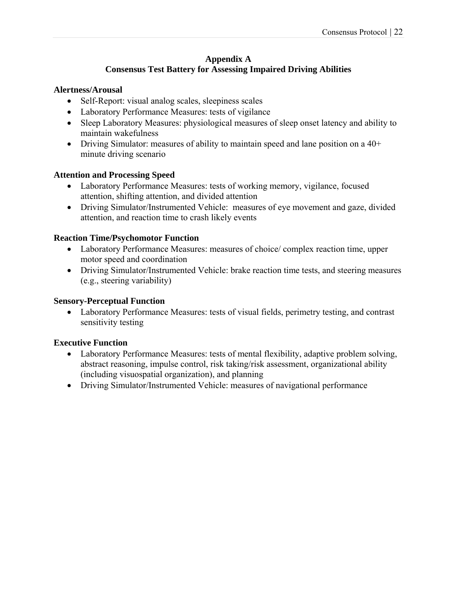# **Appendix A Consensus Test Battery for Assessing Impaired Driving Abilities**

### **Alertness/Arousal**

- Self-Report: visual analog scales, sleepiness scales
- Laboratory Performance Measures: tests of vigilance
- Sleep Laboratory Measures: physiological measures of sleep onset latency and ability to maintain wakefulness
- Driving Simulator: measures of ability to maintain speed and lane position on a 40+ minute driving scenario

## **Attention and Processing Speed**

- Laboratory Performance Measures: tests of working memory, vigilance, focused attention, shifting attention, and divided attention
- Driving Simulator/Instrumented Vehicle: measures of eye movement and gaze, divided attention, and reaction time to crash likely events

## **Reaction Time/Psychomotor Function**

- Laboratory Performance Measures: measures of choice/ complex reaction time, upper motor speed and coordination
- Driving Simulator/Instrumented Vehicle: brake reaction time tests, and steering measures (e.g., steering variability)

## **Sensory-Perceptual Function**

 Laboratory Performance Measures: tests of visual fields, perimetry testing, and contrast sensitivity testing

## **Executive Function**

- Laboratory Performance Measures: tests of mental flexibility, adaptive problem solving, abstract reasoning, impulse control, risk taking/risk assessment, organizational ability (including visuospatial organization), and planning
- Driving Simulator/Instrumented Vehicle: measures of navigational performance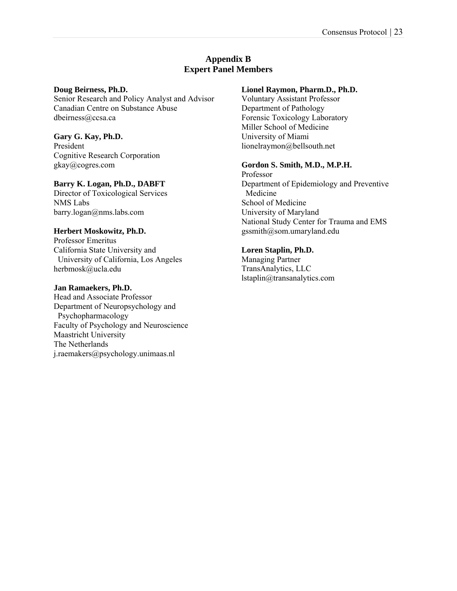# **Appendix B Expert Panel Members**

#### **Doug Beirness, Ph.D.**

Senior Research and Policy Analyst and Advisor Canadian Centre on Substance Abuse dbeirness@ccsa.ca

# **Gary G. Kay, Ph.D.**

President Cognitive Research Corporation gkay@cogres.com

## **Barry K. Logan, Ph.D., DABFT**

Director of Toxicological Services NMS Labs barry.logan@nms.labs.com

## **Herbert Moskowitz, Ph.D.**

Professor Emeritus California State University and University of California, Los Angeles herbmosk@ucla.edu

#### **Jan Ramaekers, Ph.D.**

Head and Associate Professor Department of Neuropsychology and Psychopharmacology Faculty of Psychology and Neuroscience Maastricht University The Netherlands j.raemakers@psychology.unimaas.nl

# **Lionel Raymon, Pharm.D., Ph.D.**

Voluntary Assistant Professor Department of Pathology Forensic Toxicology Laboratory Miller School of Medicine University of Miami lionelraymon@bellsouth.net

## **Gordon S. Smith, M.D., M.P.H.**

Professor Department of Epidemiology and Preventive Medicine School of Medicine University of Maryland National Study Center for Trauma and EMS gssmith@som.umaryland.edu

# **Loren Staplin, Ph.D.**

Managing Partner TransAnalytics, LLC lstaplin@transanalytics.com